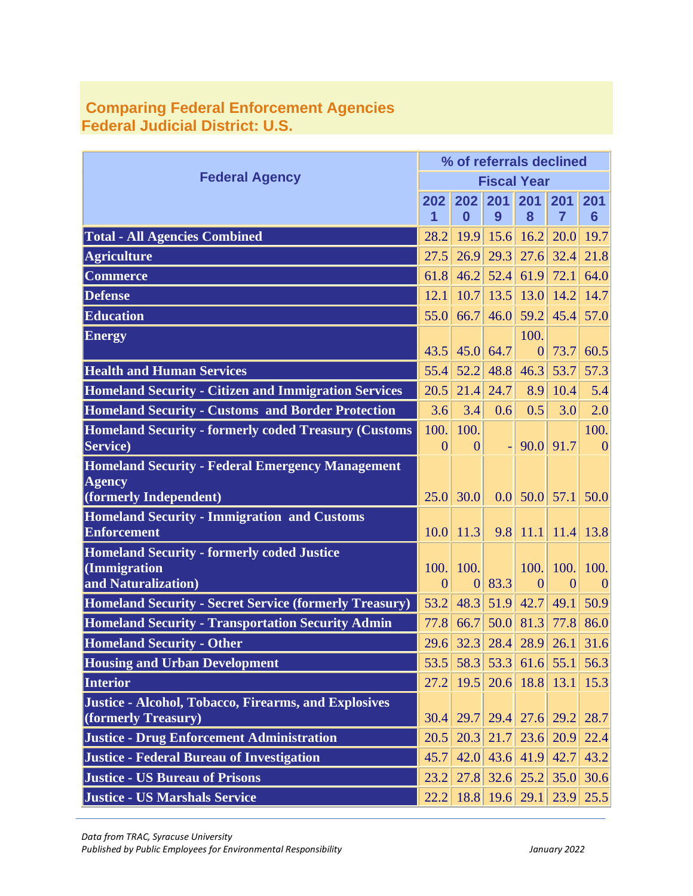|                                                               |                | % of referrals declined |                |                            |                |                               |  |  |  |
|---------------------------------------------------------------|----------------|-------------------------|----------------|----------------------------|----------------|-------------------------------|--|--|--|
| <b>Federal Agency</b>                                         |                | <b>Fiscal Year</b>      |                |                            |                |                               |  |  |  |
|                                                               | 202            | 202                     | 201            | 201                        | 201            | 201                           |  |  |  |
|                                                               | 1              | $\bf{0}$                | 9              | 8                          | $\overline{7}$ | $6\phantom{1}6$               |  |  |  |
| <b>Total - All Agencies Combined</b>                          | 28.2           | 19.9                    | 15.6           | 16.2                       | 20.0           | 19.7                          |  |  |  |
| <b>Agriculture</b>                                            | 27.5           | 26.9                    | 29.3           | 27.6                       | 32.4           | 21.8                          |  |  |  |
| <b>Commerce</b>                                               | 61.8           | 46.2                    | 52.4           | 61.9                       | 72.1           | 64.0                          |  |  |  |
| <b>Defense</b>                                                | 12.1           | 10.7                    | 13.5           | 13.0                       | 14.2           | 14.7                          |  |  |  |
| <b>Education</b>                                              | 55.0           | 66.7                    | 46.0           | 59.2                       | 45.4           | 57.0                          |  |  |  |
| <b>Energy</b>                                                 |                |                         |                | 100.                       |                |                               |  |  |  |
|                                                               | 43.5           | 45.0                    | 64.7           | $\overline{0}$             | 73.7           | 60.5                          |  |  |  |
| <b>Health and Human Services</b>                              | 55.4           | 52.2                    | 48.8           | 46.3                       | 53.7           | 57.3                          |  |  |  |
| <b>Homeland Security - Citizen and Immigration Services</b>   | 20.5           | 21.4                    | 24.7           | 8.9                        | 10.4           | 5.4                           |  |  |  |
| <b>Homeland Security - Customs and Border Protection</b>      | 3.6            | 3.4                     | 0.6            | 0.5                        | 3.0            | 2.0                           |  |  |  |
| <b>Homeland Security - formerly coded Treasury (Customs</b>   | 100.           | 100.                    |                |                            |                | 100.                          |  |  |  |
| Service)                                                      | $\overline{0}$ | $\overline{0}$          | $\blacksquare$ | 90.0                       | 91.7           | $\mathbf{0}$                  |  |  |  |
| <b>Homeland Security - Federal Emergency Management</b>       |                |                         |                |                            |                |                               |  |  |  |
| <b>Agency</b><br>(formerly Independent)                       | 25.0           | 30.0                    |                | $0.0$ 50.0 57.1            |                | 50.0                          |  |  |  |
| <b>Homeland Security - Immigration and Customs</b>            |                |                         |                |                            |                |                               |  |  |  |
| <b>Enforcement</b>                                            | 10.0           | 11.3                    | 9.8            | 11.1                       | 11.4           | 13.8                          |  |  |  |
| <b>Homeland Security - formerly coded Justice</b>             |                |                         |                |                            |                |                               |  |  |  |
| (Immigration                                                  | 100.           | 100.                    |                | 100.                       | 100.           | 100.                          |  |  |  |
| and Naturalization)                                           | $\overline{0}$ | $\overline{0}$          | 83.3           | $\overline{0}$             | $\overline{0}$ | $\theta$                      |  |  |  |
| <b>Homeland Security - Secret Service (formerly Treasury)</b> | 53.2           | 48.3                    | 51.9           | 42.7                       | 49.1           | 50.9                          |  |  |  |
| <b>Homeland Security - Transportation Security Admin</b>      | 77.8           | 66.7                    | 50.0           | 81.3                       | 77.8           | 86.0                          |  |  |  |
| <b>Homeland Security - Other</b>                              | 29.6           | 32.3                    | 28.4           | 28.9                       | 26.1           | 31.6                          |  |  |  |
| <b>Housing and Urban Development</b>                          |                |                         |                |                            |                | 53.5 58.3 53.3 61.6 55.1 56.3 |  |  |  |
| Interior                                                      |                |                         |                | 27.2 19.5 20.6 18.8 13.1   |                | 15.3                          |  |  |  |
| Justice - Alcohol, Tobacco, Firearms, and Explosives          |                |                         |                |                            |                |                               |  |  |  |
| (formerly Treasury)                                           | 30.4           |                         |                | 29.7 29.4 27.6 29.2        |                | 28.7                          |  |  |  |
| <b>Justice - Drug Enforcement Administration</b>              | 20.5           |                         |                | $20.3$ 21.7 23.6 20.9      |                | 22.4                          |  |  |  |
| <b>Justice - Federal Bureau of Investigation</b>              | 45.7           |                         |                | $42.0$ 43.6 41.9           | 42.7           | 43.2                          |  |  |  |
| <b>Justice - US Bureau of Prisons</b>                         | 23.2           |                         |                | $27.8$ 32.6 25.2 35.0 30.6 |                |                               |  |  |  |
| <b>Justice - US Marshals Service</b>                          | 22.2           |                         |                | 18.8 19.6 29.1 23.9 25.5   |                |                               |  |  |  |

## **Comparing Federal Enforcement Agencies Federal Judicial District: U.S.**

*Data from TRAC, Syracuse University*